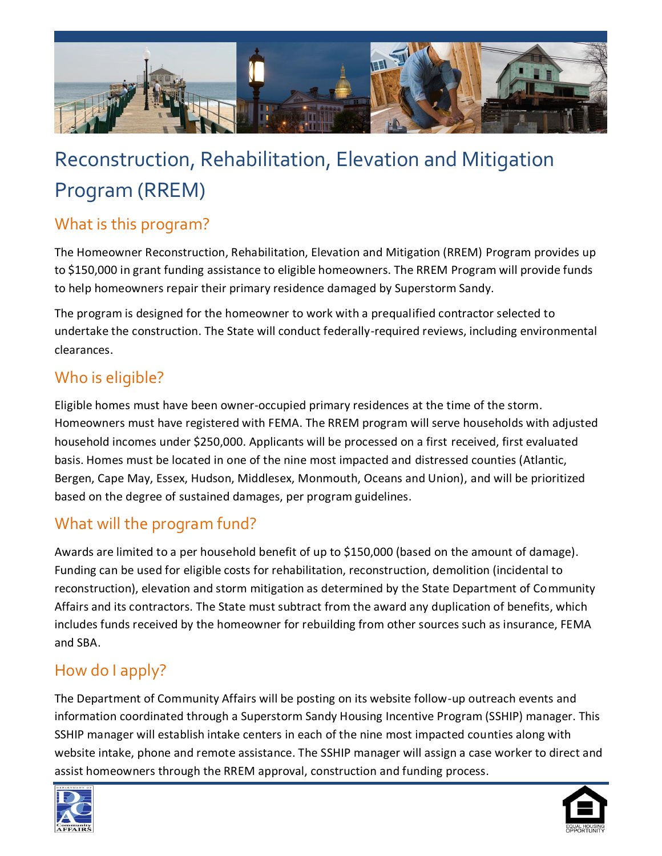

# Reconstruction, Rehabilitation, Elevation and Mitigation Program (RREM)

# What is this program?

The Homeowner Reconstruction, Rehabilitation, Elevation and Mitigation (RREM) Program provides up to \$150,000 in grant funding assistance to eligible homeowners. The RREM Program will provide funds to help homeowners repair their primary residence damaged by Superstorm Sandy.

The program is designed for the homeowner to work with a prequalified contractor selected to undertake the construction. The State will conduct federally-required reviews, including environmental clearances.

## Who is eligible?

Eligible homes must have been owner-occupied primary residences at the time of the storm. Homeowners must have registered with FEMA. The RREM program will serve households with adjusted household incomes under \$250,000. Applicants will be processed on a first received, first evaluated basis. Homes must be located in one of the nine most impacted and distressed counties (Atlantic, Bergen, Cape May, Essex, Hudson, Middlesex, Monmouth, Oceans and Union), and will be prioritized based on the degree of sustained damages, per program guidelines.

#### What will the program fund?

Awards are limited to a per household benefit of up to \$150,000 (based on the amount of damage). Funding can be used for eligible costs for rehabilitation, reconstruction, demolition (incidental to reconstruction), elevation and storm mitigation as determined by the State Department of Community Affairs and its contractors. The State must subtract from the award any duplication of benefits, which includes funds received by the homeowner for rebuilding from other sources such as insurance, FEMA and SBA.

## How do I apply?

The Department of Community Affairs will be posting on its website follow-up outreach events and information coordinated through a Superstorm Sandy Housing Incentive Program (SSHIP) manager. This SSHIP manager will establish intake centers in each of the nine most impacted counties along with website intake, phone and remote assistance. The SSHIP manager will assign a case worker to direct and assist homeowners through the RREM approval, construction and funding process.